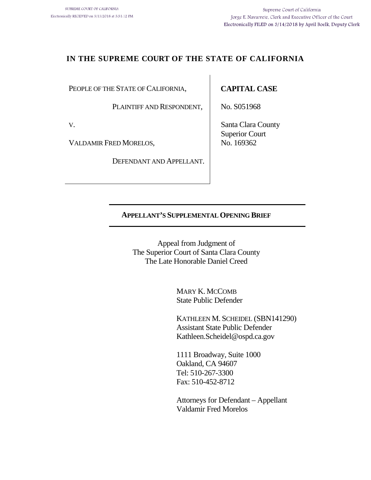## **IN THE SUPREME COURT OF THE STATE OF CALIFORNIA**

PEOPLE OF THE STATE OF CALIFORNIA,

PLAINTIFF AND RESPONDENT,

V.

VALDAMIR FRED MORELOS,

DEFENDANT AND APPELLANT.

## **CAPITAL CASE**

No. S051968

Santa Clara County Superior Court No. 169362

#### **APPELLANT'S SUPPLEMENTAL OPENING BRIEF**

Appeal from Judgment of The Superior Court of Santa Clara County The Late Honorable Daniel Creed

> MARY K. MCCOMB State Public Defender

KATHLEEN M. SCHEIDEL (SBN141290) Assistant State Public Defender Kathleen.Scheidel@ospd.ca.gov

1111 Broadway, Suite 1000 Oakland, CA 94607 Tel: 510-267-3300 Fax: 510-452-8712

Attorneys for Defendant – Appellant Valdamir Fred Morelos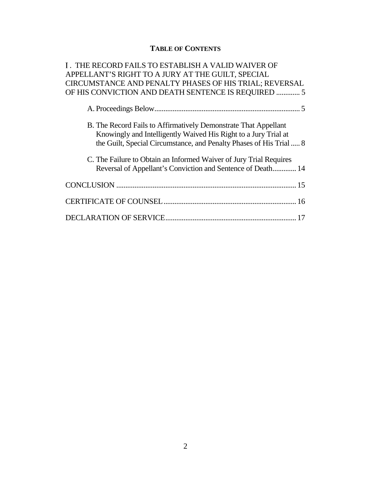## **TABLE OF CONTENTS**

| I. THE RECORD FAILS TO ESTABLISH A VALID WAIVER OF                                                                                 |
|------------------------------------------------------------------------------------------------------------------------------------|
| APPELLANT'S RIGHT TO A JURY AT THE GUILT, SPECIAL                                                                                  |
| CIRCUMSTANCE AND PENALTY PHASES OF HIS TRIAL; REVERSAL                                                                             |
| OF HIS CONVICTION AND DEATH SENTENCE IS REQUIRED  5                                                                                |
|                                                                                                                                    |
| B. The Record Fails to Affirmatively Demonstrate That Appellant<br>Knowingly and Intelligently Waived His Right to a Jury Trial at |
| the Guilt, Special Circumstance, and Penalty Phases of His Trial  8                                                                |
| C. The Failure to Obtain an Informed Waiver of Jury Trial Requires<br>Reversal of Appellant's Conviction and Sentence of Death 14  |
|                                                                                                                                    |
|                                                                                                                                    |
|                                                                                                                                    |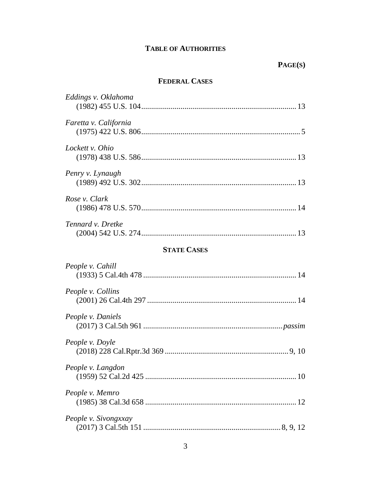## **TABLE OF AUTHORITIES**

### **FEDERAL CASES**

| Eddings v. Oklahoma   |
|-----------------------|
| Faretta v. California |
| Lockett v. Ohio       |
| Penry v. Lynaugh      |
| Rose v. Clark         |
| Tennard v. Dretke     |
| <b>STATE CASES</b>    |
| People v. Cahill      |
| People v. Collins     |
| People v. Daniels     |
| People v. Doyle       |
| People v. Langdon     |
| People v. Memro       |
| People v. Sivongxxay  |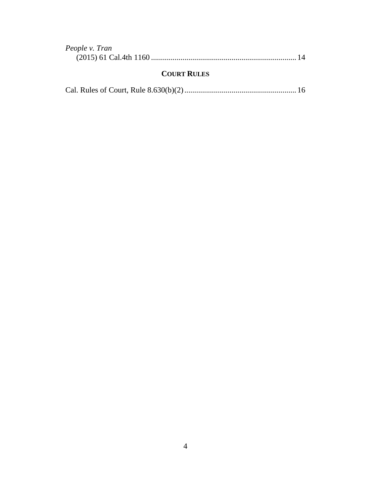| People v. Tran |  |
|----------------|--|
|                |  |

## **COURT RULES**

|--|--|--|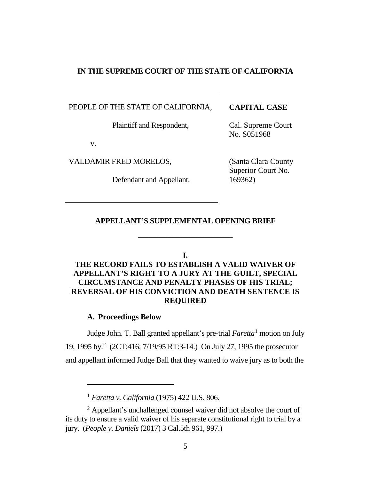#### **IN THE SUPREME COURT OF THE STATE OF CALIFORNIA**

PEOPLE OF THE STATE OF CALIFORNIA,

Plaintiff and Respondent,

v.

VALDAMIR FRED MORELOS,

Defendant and Appellant.

## **CAPITAL CASE**

Cal. Supreme Court No. S051968

(Santa Clara County Superior Court No. 169362)

#### **APPELLANT'S SUPPLEMENTAL OPENING BRIEF**

\_\_\_\_\_\_\_\_\_\_\_\_\_\_\_\_\_\_\_\_\_\_\_\_\_

#### **.**

## <span id="page-4-0"></span>**THE RECORD FAILS TO ESTABLISH A VALID WAIVER OF APPELLANT'S RIGHT TO A JURY AT THE GUILT, SPECIAL CIRCUMSTANCE AND PENALTY PHASES OF HIS TRIAL; REVERSAL OF HIS CONVICTION AND DEATH SENTENCE IS REQUIRED**

#### **A. Proceedings Below**

 $\overline{a}$ 

<span id="page-4-1"></span>Judge John. T. Ball granted appellant's pre-trial *Faretta*[1](#page-4-2) motion on July 19, 1995 by. [2](#page-4-3) (2CT:416; 7/19/95 RT:3-14.) On July 27, 1995 the prosecutor and appellant informed Judge Ball that they wanted to waive jury as to both the

<sup>1</sup> *Faretta v. California* (1975) 422 U.S. 806.

<span id="page-4-3"></span><span id="page-4-2"></span><sup>2</sup> Appellant's unchallenged counsel waiver did not absolve the court of its duty to ensure a valid waiver of his separate constitutional right to trial by a jury. (*People v. Daniels* (2017) 3 Cal.5th 961, 997.)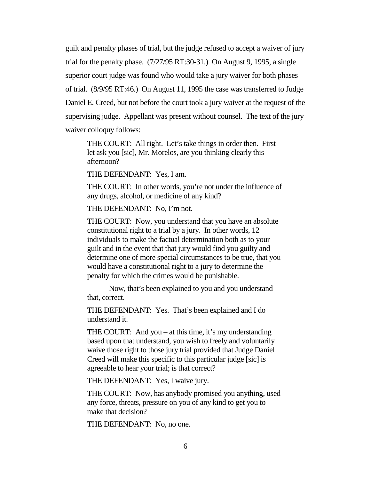guilt and penalty phases of trial, but the judge refused to accept a waiver of jury trial for the penalty phase. (7/27/95 RT:30-31.) On August 9, 1995, a single superior court judge was found who would take a jury waiver for both phases of trial. (8/9/95 RT:46.) On August 11, 1995 the case was transferred to Judge Daniel E. Creed, but not before the court took a jury waiver at the request of the supervising judge. Appellant was present without counsel. The text of the jury waiver colloquy follows:

THE COURT: All right. Let's take things in order then. First let ask you [sic], Mr. Morelos, are you thinking clearly this afternoon?

THE DEFENDANT: Yes, I am.

THE COURT: In other words, you're not under the influence of any drugs, alcohol, or medicine of any kind?

THE DEFENDANT: No, I'm not.

THE COURT: Now, you understand that you have an absolute constitutional right to a trial by a jury. In other words, 12 individuals to make the factual determination both as to your guilt and in the event that that jury would find you guilty and determine one of more special circumstances to be true, that you would have a constitutional right to a jury to determine the penalty for which the crimes would be punishable.

Now, that's been explained to you and you understand that, correct.

THE DEFENDANT: Yes. That's been explained and I do understand it.

THE COURT: And you – at this time, it's my understanding based upon that understand, you wish to freely and voluntarily waive those right to those jury trial provided that Judge Daniel Creed will make this specific to this particular judge [sic] is agreeable to hear your trial; is that correct?

THE DEFENDANT: Yes, I waive jury.

THE COURT: Now, has anybody promised you anything, used any force, threats, pressure on you of any kind to get you to make that decision?

THE DEFENDANT: No, no one.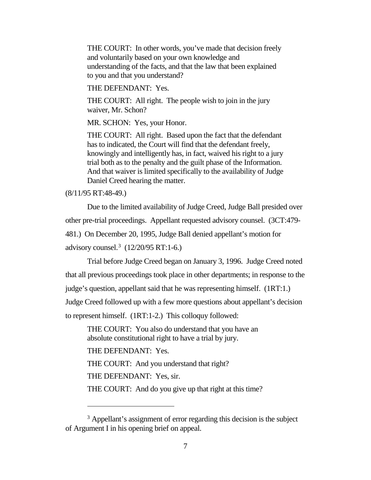THE COURT: In other words, you've made that decision freely and voluntarily based on your own knowledge and understanding of the facts, and that the law that been explained to you and that you understand?

THE DEFENDANT: Yes.

THE COURT: All right. The people wish to join in the jury waiver, Mr. Schon?

MR. SCHON: Yes, your Honor.

THE COURT: All right. Based upon the fact that the defendant has to indicated, the Court will find that the defendant freely, knowingly and intelligently has, in fact, waived his right to a jury trial both as to the penalty and the guilt phase of the Information. And that waiver is limited specifically to the availability of Judge Daniel Creed hearing the matter.

(8/11/95 RT:48-49.)

 $\overline{a}$ 

Due to the limited availability of Judge Creed, Judge Ball presided over other pre-trial proceedings. Appellant requested advisory counsel. (3CT:479- 481.) On December 20, 1995, Judge Ball denied appellant's motion for advisory counsel.[3](#page-6-0) (12/20/95 RT:1-6.)

Trial before Judge Creed began on January 3, 1996. Judge Creed noted that all previous proceedings took place in other departments; in response to the judge's question, appellant said that he was representing himself. (1RT:1.) Judge Creed followed up with a few more questions about appellant's decision to represent himself. (1RT:1-2.) This colloquy followed:

THE COURT: You also do understand that you have an absolute constitutional right to have a trial by jury.

THE DEFENDANT: Yes.

THE COURT: And you understand that right?

THE DEFENDANT: Yes, sir.

THE COURT: And do you give up that right at this time?

<span id="page-6-0"></span><sup>&</sup>lt;sup>3</sup> Appellant's assignment of error regarding this decision is the subject of Argument I in his opening brief on appeal.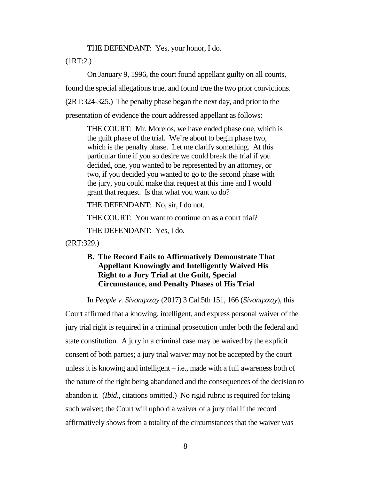THE DEFENDANT: Yes, your honor, I do.

(1RT:2.)

On January 9, 1996, the court found appellant guilty on all counts, found the special allegations true, and found true the two prior convictions. (2RT:324-325.) The penalty phase began the next day, and prior to the presentation of evidence the court addressed appellant as follows:

THE COURT: Mr. Morelos, we have ended phase one, which is the guilt phase of the trial. We're about to begin phase two, which is the penalty phase. Let me clarify something. At this particular time if you so desire we could break the trial if you decided, one, you wanted to be represented by an attorney, or two, if you decided you wanted to go to the second phase with the jury, you could make that request at this time and I would grant that request. Is that what you want to do?

THE DEFENDANT: No, sir, I do not.

THE COURT: You want to continue on as a court trial?

THE DEFENDANT: Yes, I do.

<span id="page-7-0"></span>(2RT:329.)

### **B. The Record Fails to Affirmatively Demonstrate That Appellant Knowingly and Intelligently Waived His Right to a Jury Trial at the Guilt, Special Circumstance, and Penalty Phases of His Trial**

In *People v. Sivongxxay* (2017) 3 Cal.5th 151, 166 (*Sivongxxay*), this

Court affirmed that a knowing, intelligent, and express personal waiver of the jury trial right is required in a criminal prosecution under both the federal and state constitution. A jury in a criminal case may be waived by the explicit consent of both parties; a jury trial waiver may not be accepted by the court unless it is knowing and intelligent  $-$  i.e., made with a full awareness both of the nature of the right being abandoned and the consequences of the decision to abandon it. (*Ibid*., citations omitted.) No rigid rubric is required for taking such waiver; the Court will uphold a waiver of a jury trial if the record affirmatively shows from a totality of the circumstances that the waiver was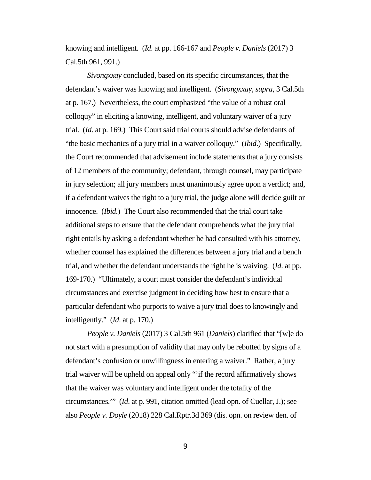knowing and intelligent. (*Id*. at pp. 166-167 and *People v. Daniels* (2017) 3 Cal.5th 961, 991.)

*Sivongxxay* concluded, based on its specific circumstances, that the defendant's waiver was knowing and intelligent. (*Sivongxxay*, *supra*, 3 Cal.5th at p. 167.) Nevertheless, the court emphasized "the value of a robust oral colloquy" in eliciting a knowing, intelligent, and voluntary waiver of a jury trial. (*Id*. at p. 169.) This Court said trial courts should advise defendants of "the basic mechanics of a jury trial in a waiver colloquy." (*Ibid*.) Specifically, the Court recommended that advisement include statements that a jury consists of 12 members of the community; defendant, through counsel, may participate in jury selection; all jury members must unanimously agree upon a verdict; and, if a defendant waives the right to a jury trial, the judge alone will decide guilt or innocence. (*Ibid*.) The Court also recommended that the trial court take additional steps to ensure that the defendant comprehends what the jury trial right entails by asking a defendant whether he had consulted with his attorney, whether counsel has explained the differences between a jury trial and a bench trial, and whether the defendant understands the right he is waiving. (*Id*. at pp. 169-170.) "Ultimately, a court must consider the defendant's individual circumstances and exercise judgment in deciding how best to ensure that a particular defendant who purports to waive a jury trial does to knowingly and intelligently." (*Id*. at p. 170.)

*People v. Daniels* (2017) 3 Cal.5th 961 (*Daniels*) clarified that "[w]e do not start with a presumption of validity that may only be rebutted by signs of a defendant's confusion or unwillingness in entering a waiver." Rather, a jury trial waiver will be upheld on appeal only "'if the record affirmatively shows that the waiver was voluntary and intelligent under the totality of the circumstances.'" (*Id*. at p. 991, citation omitted (lead opn. of Cuellar, J.); see also *People v. Doyle* (2018) 228 Cal.Rptr.3d 369 (dis. opn. on review den. of

9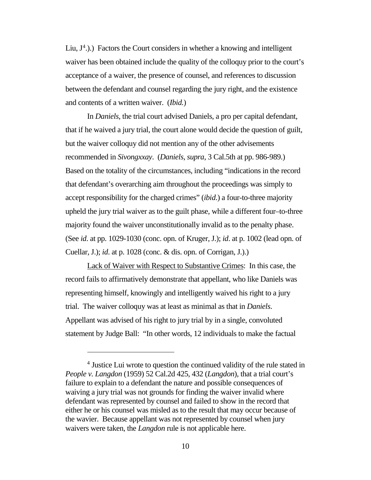Liu,  $J<sup>4</sup>$  $J<sup>4</sup>$  $J<sup>4</sup>$ .).) Factors the Court considers in whether a knowing and intelligent waiver has been obtained include the quality of the colloquy prior to the court's acceptance of a waiver, the presence of counsel, and references to discussion between the defendant and counsel regarding the jury right, and the existence and contents of a written waiver. (*Ibid.*)

In *Daniels*, the trial court advised Daniels, a pro per capital defendant, that if he waived a jury trial, the court alone would decide the question of guilt, but the waiver colloquy did not mention any of the other advisements recommended in *Sivongxxay*. (*Daniels*, *supra*, 3 Cal.5th at pp. 986-989.) Based on the totality of the circumstances, including "indications in the record that defendant's overarching aim throughout the proceedings was simply to accept responsibility for the charged crimes" (*ibid*.) a four-to-three majority upheld the jury trial waiver as to the guilt phase, while a different four–to-three majority found the waiver unconstitutionally invalid as to the penalty phase. (See *id*. at pp. 1029-1030 (conc. opn. of Kruger, J.); *id*. at p. 1002 (lead opn. of Cuellar, J.); *id*. at p. 1028 (conc. & dis. opn. of Corrigan, J.).)

Lack of Waiver with Respect to Substantive Crimes: In this case, the record fails to affirmatively demonstrate that appellant, who like Daniels was representing himself, knowingly and intelligently waived his right to a jury trial. The waiver colloquy was at least as minimal as that in *Daniels*. Appellant was advised of his right to jury trial by in a single, convoluted statement by Judge Ball: "In other words, 12 individuals to make the factual

 $\overline{a}$ 

<span id="page-9-0"></span><sup>4</sup> Justice Lui wrote to question the continued validity of the rule stated in *People v. Langdon* (1959) 52 Cal.2d 425, 432 (*Langdon*), that a trial court's failure to explain to a defendant the nature and possible consequences of waiving a jury trial was not grounds for finding the waiver invalid where defendant was represented by counsel and failed to show in the record that either he or his counsel was misled as to the result that may occur because of the wavier. Because appellant was not represented by counsel when jury waivers were taken, the *Langdon* rule is not applicable here.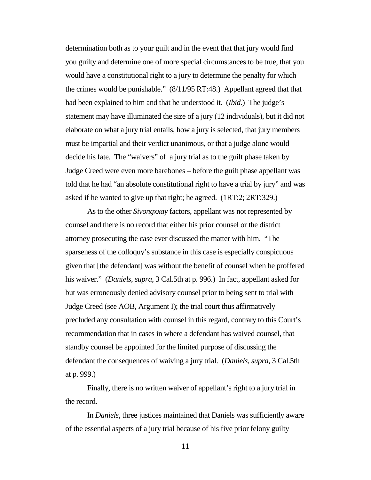determination both as to your guilt and in the event that that jury would find you guilty and determine one of more special circumstances to be true, that you would have a constitutional right to a jury to determine the penalty for which the crimes would be punishable." (8/11/95 RT:48.) Appellant agreed that that had been explained to him and that he understood it. (*Ibid*.) The judge's statement may have illuminated the size of a jury (12 individuals), but it did not elaborate on what a jury trial entails, how a jury is selected, that jury members must be impartial and their verdict unanimous, or that a judge alone would decide his fate. The "waivers" of a jury trial as to the guilt phase taken by Judge Creed were even more barebones – before the guilt phase appellant was told that he had "an absolute constitutional right to have a trial by jury" and was asked if he wanted to give up that right; he agreed. (1RT:2; 2RT:329.)

As to the other *Sivongxxay* factors, appellant was not represented by counsel and there is no record that either his prior counsel or the district attorney prosecuting the case ever discussed the matter with him. "The sparseness of the colloquy's substance in this case is especially conspicuous given that [the defendant] was without the benefit of counsel when he proffered his waiver." (*Daniels*, *supra*, 3 Cal.5th at p. 996.) In fact, appellant asked for but was erroneously denied advisory counsel prior to being sent to trial with Judge Creed (see AOB, Argument I); the trial court thus affirmatively precluded any consultation with counsel in this regard, contrary to this Court's recommendation that in cases in where a defendant has waived counsel, that standby counsel be appointed for the limited purpose of discussing the defendant the consequences of waiving a jury trial. (*Daniels*, *supra*, 3 Cal.5th at p. 999.)

Finally, there is no written waiver of appellant's right to a jury trial in the record.

In *Daniels*, three justices maintained that Daniels was sufficiently aware of the essential aspects of a jury trial because of his five prior felony guilty

11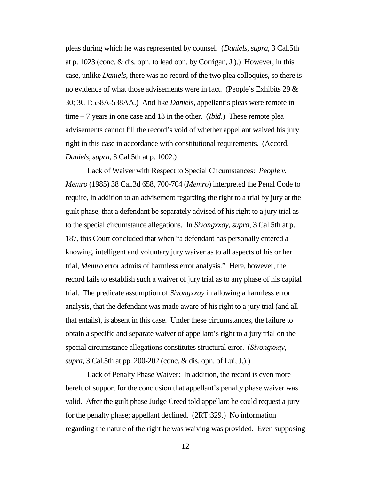pleas during which he was represented by counsel. (*Daniels*, *supra*, 3 Cal.5th at p. 1023 (conc. & dis. opn. to lead opn. by Corrigan, J.).) However, in this case, unlike *Daniels*, there was no record of the two plea colloquies, so there is no evidence of what those advisements were in fact. (People's Exhibits 29  $\&$ 30; 3CT:538A-538AA.) And like *Daniels*, appellant's pleas were remote in time – 7 years in one case and 13 in the other. (*Ibid*.) These remote plea advisements cannot fill the record's void of whether appellant waived his jury right in this case in accordance with constitutional requirements. (Accord, *Daniels*, *supra*, 3 Cal.5th at p. 1002.)

Lack of Waiver with Respect to Special Circumstances: *People v. Memro* (1985) 38 Cal.3d 658, 700-704 (*Memro*) interpreted the Penal Code to require, in addition to an advisement regarding the right to a trial by jury at the guilt phase, that a defendant be separately advised of his right to a jury trial as to the special circumstance allegations. In *Sivongxxay*, *supra*, 3 Cal.5th at p. 187, this Court concluded that when "a defendant has personally entered a knowing, intelligent and voluntary jury waiver as to all aspects of his or her trial, *Memro* error admits of harmless error analysis." Here, however, the record fails to establish such a waiver of jury trial as to any phase of his capital trial. The predicate assumption of *Sivongxxay* in allowing a harmless error analysis, that the defendant was made aware of his right to a jury trial (and all that entails), is absent in this case. Under these circumstances, the failure to obtain a specific and separate waiver of appellant's right to a jury trial on the special circumstance allegations constitutes structural error. (*Sivongxxay*, *supra*, 3 Cal.5th at pp. 200-202 (conc. & dis. opn. of Lui, J.).)

Lack of Penalty Phase Waiver: In addition, the record is even more bereft of support for the conclusion that appellant's penalty phase waiver was valid. After the guilt phase Judge Creed told appellant he could request a jury for the penalty phase; appellant declined. (2RT:329.) No information regarding the nature of the right he was waiving was provided. Even supposing

12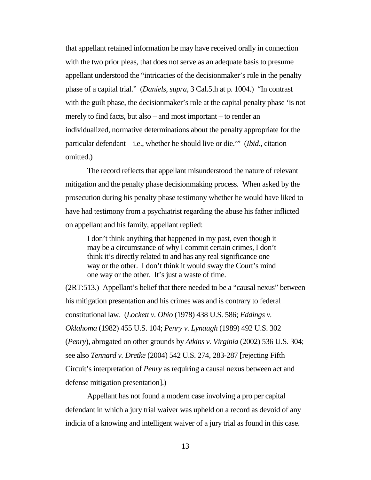that appellant retained information he may have received orally in connection with the two prior pleas, that does not serve as an adequate basis to presume appellant understood the "intricacies of the decisionmaker's role in the penalty phase of a capital trial." (*Daniels*, *supra*, 3 Cal.5th at p. 1004.) "In contrast with the guilt phase, the decisionmaker's role at the capital penalty phase 'is not merely to find facts, but also – and most important – to render an individualized, normative determinations about the penalty appropriate for the particular defendant – i.e., whether he should live or die.'" (*Ibid*., citation omitted.)

The record reflects that appellant misunderstood the nature of relevant mitigation and the penalty phase decisionmaking process. When asked by the prosecution during his penalty phase testimony whether he would have liked to have had testimony from a psychiatrist regarding the abuse his father inflicted on appellant and his family, appellant replied:

I don't think anything that happened in my past, even though it may be a circumstance of why I commit certain crimes, I don't think it's directly related to and has any real significance one way or the other. I don't think it would sway the Court's mind one way or the other. It's just a waste of time.

(2RT:513.) Appellant's belief that there needed to be a "causal nexus" between his mitigation presentation and his crimes was and is contrary to federal constitutional law. (*Lockett v. Ohio* (1978) 438 U.S. 586; *Eddings v. Oklahoma* (1982) 455 U.S. 104; *Penry v. Lynaugh* (1989) 492 U.S. 302 (*Penry*), abrogated on other grounds by *Atkins v. Virginia* (2002) 536 U.S. 304; see also *Tennard v. Dretke* (2004) 542 U.S. 274, 283-287 [rejecting Fifth Circuit's interpretation of *Penry* as requiring a causal nexus between act and defense mitigation presentation].)

Appellant has not found a modern case involving a pro per capital defendant in which a jury trial waiver was upheld on a record as devoid of any indicia of a knowing and intelligent waiver of a jury trial as found in this case.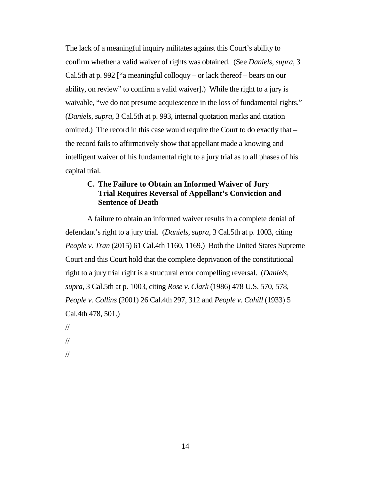The lack of a meaningful inquiry militates against this Court's ability to confirm whether a valid waiver of rights was obtained. (See *Daniels*, *supra*, 3 Cal.5th at p. 992 ["a meaningful colloquy – or lack thereof – bears on our ability, on review" to confirm a valid waiver].) While the right to a jury is waivable, "we do not presume acquiescence in the loss of fundamental rights." (*Daniels*, *supra*, 3 Cal.5th at p. 993, internal quotation marks and citation omitted.) The record in this case would require the Court to do exactly that – the record fails to affirmatively show that appellant made a knowing and intelligent waiver of his fundamental right to a jury trial as to all phases of his capital trial.

### <span id="page-13-0"></span>**C. The Failure to Obtain an Informed Waiver of Jury Trial Requires Reversal of Appellant's Conviction and Sentence of Death**

A failure to obtain an informed waiver results in a complete denial of defendant's right to a jury trial. (*Daniels*, *supra*, 3 Cal.5th at p. 1003, citing *People v. Tran* (2015) 61 Cal.4th 1160, 1169.) Both the United States Supreme Court and this Court hold that the complete deprivation of the constitutional right to a jury trial right is a structural error compelling reversal. (*Daniels*, *supra*, 3 Cal.5th at p. 1003, citing *Rose v. Clark* (1986) 478 U.S. 570, 578, *People v. Collins* (2001) 26 Cal.4th 297, 312 and *People v. Cahill* (1933) 5 Cal.4th 478, 501.)

- //
- //
- //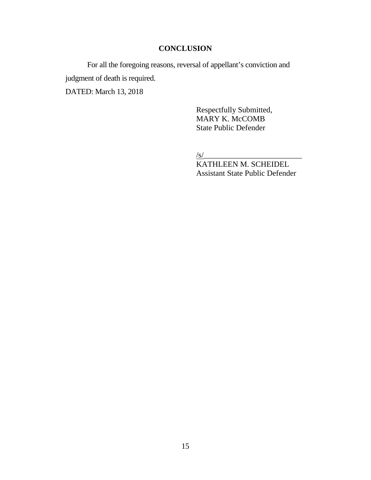## **CONCLUSION**

<span id="page-14-0"></span>For all the foregoing reasons, reversal of appellant's conviction and judgment of death is required. DATED: March 13, 2018

> Respectfully Submitted, MARY K. McCOMB State Public Defender

/s/\_\_\_\_\_\_\_\_\_\_\_\_\_\_\_\_\_\_\_\_\_\_\_\_\_

KATHLEEN M. SCHEIDEL Assistant State Public Defender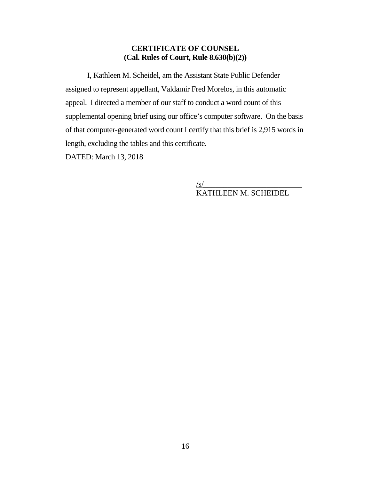### <span id="page-15-0"></span>**CERTIFICATE OF COUNSEL (Cal. Rules of Court, Rule 8.630(b)(2))**

I, Kathleen M. Scheidel, am the Assistant State Public Defender assigned to represent appellant, Valdamir Fred Morelos, in this automatic appeal. I directed a member of our staff to conduct a word count of this supplemental opening brief using our office's computer software. On the basis of that computer-generated word count I certify that this brief is 2,915 words in length, excluding the tables and this certificate.

DATED: March 13, 2018

/s/\_\_\_\_\_\_\_\_\_\_\_\_\_\_\_\_\_\_\_\_\_\_\_\_\_ KATHLEEN M. SCHEIDEL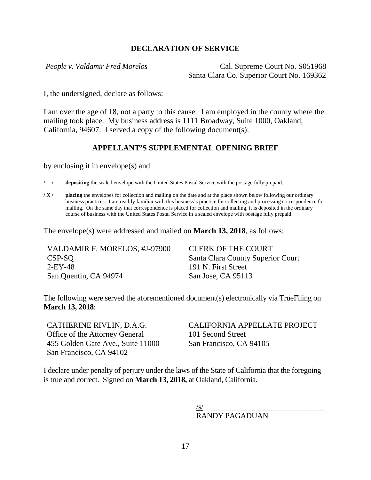### <span id="page-16-0"></span>**DECLARATION OF SERVICE**

*People v. Valdamir Fred Morelos* Cal. Supreme Court No. S051968 Santa Clara Co. Superior Court No. 169362

I, the undersigned, declare as follows:

I am over the age of 18, not a party to this cause. I am employed in the county where the mailing took place. My business address is 1111 Broadway, Suite 1000, Oakland, California, 94607. I served a copy of the following document(s):

#### **APPELLANT'S SUPPLEMENTAL OPENING BRIEF**

by enclosing it in envelope(s) and

**/ / depositing** the sealed envelope with the United States Postal Service with the postage fully prepaid;

**/ X / placing** the envelopes for collection and mailing on the date and at the place shown below following our ordinary business practices. I am readily familiar with this business's practice for collecting and processing correspondence for mailing. On the same day that correspondence is placed for collection and mailing, it is deposited in the ordinary course of business with the United States Postal Service in a sealed envelope with postage fully prepaid.

The envelope(s) were addressed and mailed on **March 13, 2018**, as follows:

| VALDAMIR F. MORELOS, #J-97900 | <b>CLERK OF THE COURT</b>         |
|-------------------------------|-----------------------------------|
| CSP-SO                        | Santa Clara County Superior Court |
| $2$ -EY-48                    | 191 N. First Street               |
| San Quentin, CA 94974         | San Jose, CA 95113                |

The following were served the aforementioned document(s) electronically via TrueFiling on **March 13, 2018**:

CATHERINE RIVLIN, D.A.G. Office of the Attorney General 455 Golden Gate Ave., Suite 11000 San Francisco, CA 94102

CALIFORNIA APPELLATE PROJECT 101 Second Street San Francisco, CA 94105

I declare under penalty of perjury under the laws of the State of California that the foregoing is true and correct. Signed on **March 13, 2018,** at Oakland, California.

> $\sqrt{\text{s}}$ / RANDY PAGADUAN